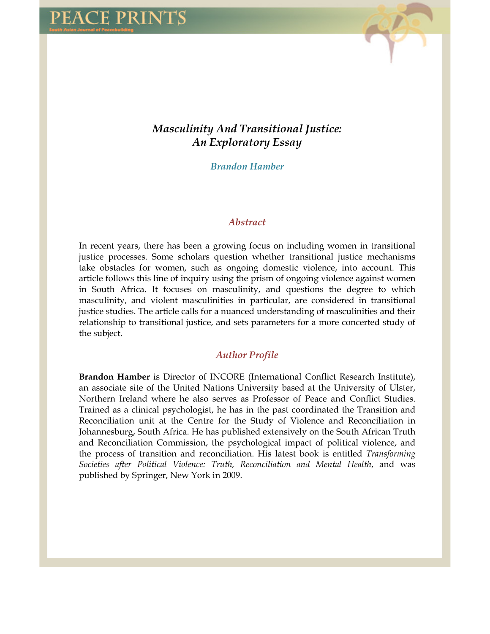

# Masculinity And Transitional Justice: An Exploratory Essay

Brandon Hamber

#### **Abstract**

In recent years, there has been a growing focus on including women in transitional justice processes. Some scholars question whether transitional justice mechanisms take obstacles for women, such as ongoing domestic violence, into account. This article follows this line of inquiry using the prism of ongoing violence against women in South Africa. It focuses on masculinity, and questions the degree to which masculinity, and violent masculinities in particular, are considered in transitional justice studies. The article calls for a nuanced understanding of masculinities and their relationship to transitional justice, and sets parameters for a more concerted study of the subject.

## Author Profile

Brandon Hamber is Director of INCORE (International Conflict Research Institute), an associate site of the United Nations University based at the University of Ulster, Northern Ireland where he also serves as Professor of Peace and Conflict Studies. Trained as a clinical psychologist, he has in the past coordinated the Transition and Reconciliation unit at the Centre for the Study of Violence and Reconciliation in Johannesburg, South Africa. He has published extensively on the South African Truth and Reconciliation Commission, the psychological impact of political violence, and the process of transition and reconciliation. His latest book is entitled Transforming Societies after Political Violence: Truth, Reconciliation and Mental Health, and was published by Springer, New York in 2009.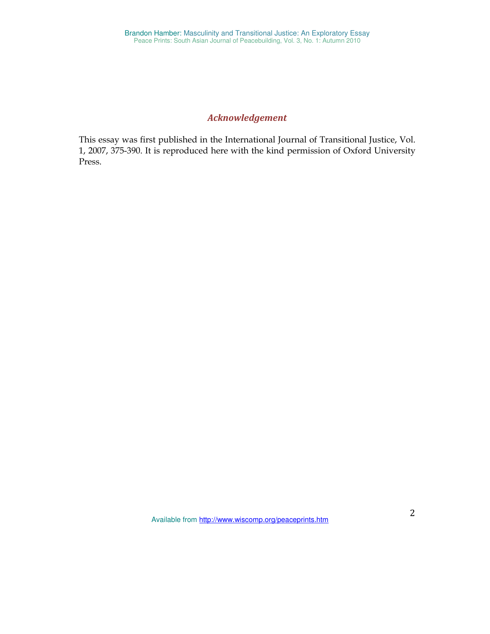## Acknowledgement

This essay was first published in the International Journal of Transitional Justice, Vol. 1, 2007, 375-390. It is reproduced here with the kind permission of Oxford University Press.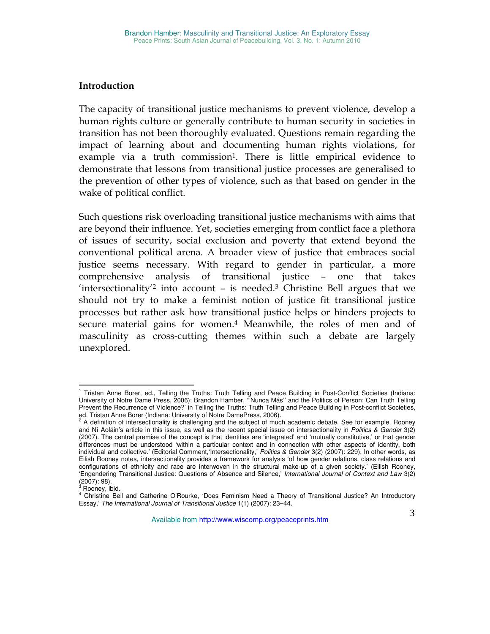# Introduction

The capacity of transitional justice mechanisms to prevent violence, develop a human rights culture or generally contribute to human security in societies in transition has not been thoroughly evaluated. Questions remain regarding the impact of learning about and documenting human rights violations, for example via a truth commission<sup>1</sup>. There is little empirical evidence to demonstrate that lessons from transitional justice processes are generalised to the prevention of other types of violence, such as that based on gender in the wake of political conflict.

Such questions risk overloading transitional justice mechanisms with aims that are beyond their influence. Yet, societies emerging from conflict face a plethora of issues of security, social exclusion and poverty that extend beyond the conventional political arena. A broader view of justice that embraces social justice seems necessary. With regard to gender in particular, a more comprehensive analysis of transitional justice – one that takes 'intersectionality'<sup>2</sup> into account – is needed.<sup>3</sup> Christine Bell argues that we should not try to make a feminist notion of justice fit transitional justice processes but rather ask how transitional justice helps or hinders projects to secure material gains for women.<sup>4</sup> Meanwhile, the roles of men and of masculinity as cross-cutting themes within such a debate are largely unexplored.

<sup>1</sup> Tristan Anne Borer, ed., Telling the Truths: Truth Telling and Peace Building in Post-Conflict Societies (Indiana: University of Notre Dame Press, 2006); Brandon Hamber, '"Nunca Más'' and the Politics of Person: Can Truth Telling Prevent the Recurrence of Violence?' in Telling the Truths: Truth Telling and Peace Building in Post-conflict Societies,

ed. Tristan Anne Borer (Indiana: University of Notre DamePress, 2006).<br><sup>2</sup> A definition of intersectionality is challenging and the subject of much academic debate. See for example, Rooney and Ní Aoláin's article in this issue, as well as the recent special issue on intersectionality in Politics & Gender 3(2) (2007). The central premise of the concept is that identities are 'integrated' and 'mutually constitutive,' or that gender differences must be understood 'within a particular context and in connection with other aspects of identity, both individual and collective.' (Editorial Comment, Intersectionality,' Politics & Gender 3(2) (2007): 229). In other words, as Eilish Rooney notes, intersectionality provides a framework for analysis 'of how gender relations, class relations and configurations of ethnicity and race are interwoven in the structural make-up of a given society.' (Eilish Rooney, 'Engendering Transitional Justice: Questions of Absence and Silence,' International Journal of Context and Law 3(2) (2007): 98).<br><sup>3</sup> Booney, ik

Rooney, ibid.

<sup>4</sup> Christine Bell and Catherine O'Rourke, 'Does Feminism Need a Theory of Transitional Justice? An Introductory Essay,' The International Journal of Transitional Justice 1(1) (2007): 23–44.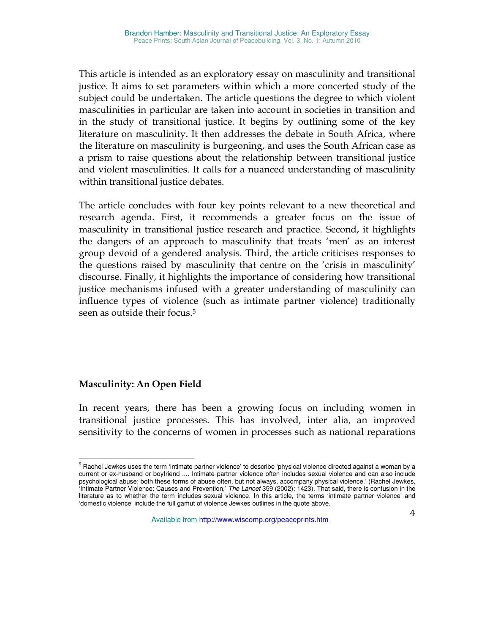This article is intended as an exploratory essay on masculinity and transitional justice. It aims to set parameters within which a more concerted study of the subject could be undertaken. The article questions the degree to which violent masculinities in particular are taken into account in societies in transition and in the study of transitional justice. It begins by outlining some of the key literature on masculinity. It then addresses the debate in South Africa, where the literature on masculinity is burgeoning, and uses the South African case as a prism to raise questions about the relationship between transitional justice and violent masculinities. It calls for a nuanced understanding of masculinity within transitional justice debates.

The article concludes with four key points relevant to a new theoretical and research agenda. First, it recommends a greater focus on the issue of masculinity in transitional justice research and practice. Second, it highlights the dangers of an approach to masculinity that treats 'men' as an interest group devoid of a gendered analysis. Third, the article criticises responses to the questions raised by masculinity that centre on the 'crisis in masculinity' discourse. Finally, it highlights the importance of considering how transitional justice mechanisms infused with a greater understanding of masculinity can influence types of violence (such as intimate partner violence) traditionally seen as outside their focus.<sup>5</sup>

# Masculinity: An Open Field

 $\overline{a}$ 

In recent years, there has been a growing focus on including women in transitional justice processes. This has involved, inter alia, an improved sensitivity to the concerns of women in processes such as national reparations

<sup>&</sup>lt;sup>5</sup> Rachel Jewkes uses the term 'intimate partner violence' to describe 'physical violence directed against a woman by a current or ex-husband or boyfriend .... Intimate partner violence often includes sexual violence and can also include psychological abuse; both these forms of abuse often, but not always, accompany physical violence.' (Rachel Jewkes, 'Intimate Partner Violence: Causes and Prevention,' The Lancet 359 (2002): 1423). That said, there is confusion in the literature as to whether the term includes sexual violence. In this article, the terms 'intimate partner violence' and 'domestic violence' include the full gamut of violence Jewkes outlines in the quote above.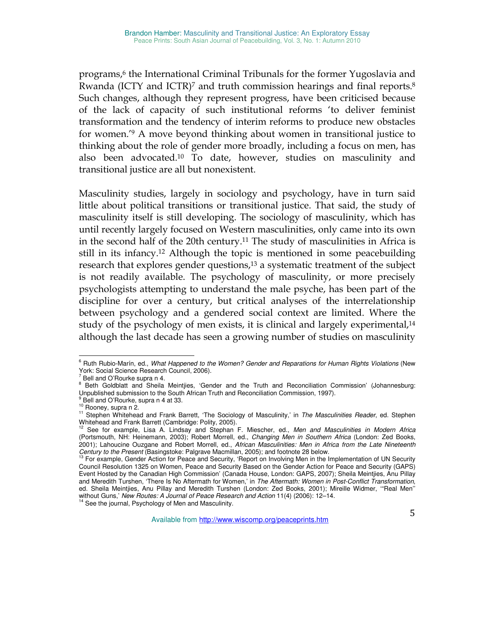programs,<sup>6</sup> the International Criminal Tribunals for the former Yugoslavia and Rwanda (ICTY and ICTR)<sup>7</sup> and truth commission hearings and final reports.<sup>8</sup> Such changes, although they represent progress, have been criticised because of the lack of capacity of such institutional reforms 'to deliver feminist transformation and the tendency of interim reforms to produce new obstacles for women.'<sup>9</sup> A move beyond thinking about women in transitional justice to thinking about the role of gender more broadly, including a focus on men, has also been advocated.<sup>10</sup> To date, however, studies on masculinity and transitional justice are all but nonexistent.

Masculinity studies, largely in sociology and psychology, have in turn said little about political transitions or transitional justice. That said, the study of masculinity itself is still developing. The sociology of masculinity, which has until recently largely focused on Western masculinities, only came into its own in the second half of the 20th century.<sup>11</sup> The study of masculinities in Africa is still in its infancy.<sup>12</sup> Although the topic is mentioned in some peacebuilding research that explores gender questions,<sup>13</sup> a systematic treatment of the subject is not readily available. The psychology of masculinity, or more precisely psychologists attempting to understand the male psyche, has been part of the discipline for over a century, but critical analyses of the interrelationship between psychology and a gendered social context are limited. Where the study of the psychology of men exists, it is clinical and largely experimental,<sup>14</sup> although the last decade has seen a growing number of studies on masculinity

<sup>&</sup>lt;sup>6</sup> Ruth Rubio-Marín, ed., *What Happened to the Women? Gender and Reparations for Human Rights Violations (New* York: Social Science Research Council, 2006).

 $\frac{7}{1}$  Bell and O'Rourke supra n 4.

<sup>8</sup> Beth Goldblatt and Sheila Meintjies, 'Gender and the Truth and Reconciliation Commission' (Johannesburg: Unpublished submission to the South African Truth and Reconciliation Commission, 1997).

<sup>9</sup> Bell and O'Rourke, supra n 4 at 33.

<sup>&</sup>lt;sup>10</sup> Rooney, supra n 2.

<sup>&</sup>lt;sup>11</sup> Stephen Whitehead and Frank Barrett, 'The Sociology of Masculinity,' in The Masculinities Reader, ed. Stephen Whitehead and Frank Barrett (Cambridge: Polity, 2005).

 $12$  See for example, Lisa A. Lindsay and Stephan F. Miescher, ed., Men and Masculinities in Modern Africa (Portsmouth, NH: Heinemann, 2003); Robert Morrell, ed., *Changing Men in Southern Africa* (London: Zed Books, 2001); Lahoucine Ouzgane and Robert Morrell, ed., African Masculinities: Men in Africa from the Late Nineteenth

*Century to the Present* (Basingstoke: Palgrave Macmillan, 2005); and footnote 28 below.<br><sup>13</sup> For example, Gender Action for Peace and Security, 'Report on Involving Men in the Implementation of UN Security Council Resolution 1325 on Women, Peace and Security Based on the Gender Action for Peace and Security (GAPS) Event Hosted by the Canadian High Commission' (Canada House, London: GAPS, 2007); Sheila Meintjies, Anu Pillay and Meredith Turshen, 'There Is No Aftermath for Women,' in The Aftermath: Women in Post-Conflict Transformation, ed. Sheila Meintjies, Anu Pillay and Meredith Turshen (London: Zed Books, 2001); Mireille Widmer, '"Real Men'' without Guns,' *New Routes: A Journal of Peace Research and Action* 11(4) (2006): 12–14.<br><sup>14</sup> See the journal, Psychology of Men and Masculinity.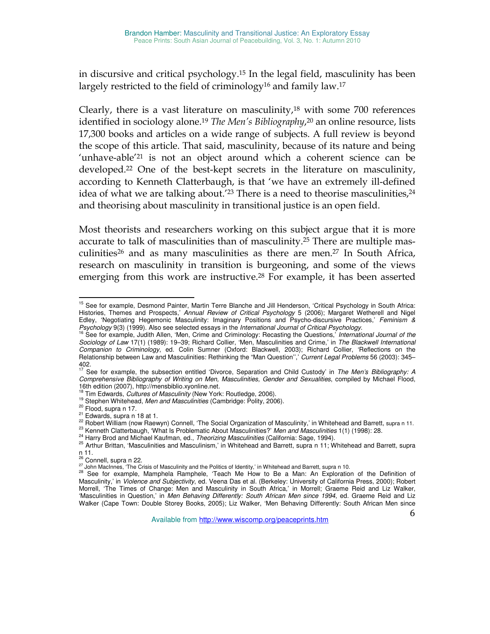in discursive and critical psychology.<sup>15</sup> In the legal field, masculinity has been largely restricted to the field of criminology<sup>16</sup> and family law.<sup>17</sup>

Clearly, there is a vast literature on masculinity,<sup>18</sup> with some 700 references identified in sociology alone.<sup>19</sup> The Men's Bibliography, <sup>20</sup> an online resource, lists 17,300 books and articles on a wide range of subjects. A full review is beyond the scope of this article. That said, masculinity, because of its nature and being 'unhave-able'<sup>21</sup> is not an object around which a coherent science can be developed.<sup>22</sup> One of the best-kept secrets in the literature on masculinity, according to Kenneth Clatterbaugh, is that 'we have an extremely ill-defined idea of what we are talking about.<sup>'23</sup> There is a need to theorise masculinities,<sup>24</sup> and theorising about masculinity in transitional justice is an open field.

Most theorists and researchers working on this subject argue that it is more accurate to talk of masculinities than of masculinity.25 There are multiple masculinities<sup>26</sup> and as many masculinities as there are men.<sup>27</sup> In South Africa, research on masculinity in transition is burgeoning, and some of the views emerging from this work are instructive.<sup>28</sup> For example, it has been asserted

<sup>&</sup>lt;sup>15</sup> See for example, Desmond Painter, Martin Terre Blanche and Jill Henderson, 'Critical Psychology in South Africa: Histories, Themes and Prospects,' Annual Review of Critical Psychology 5 (2006); Margaret Wetherell and Nigel Edley, 'Negotiating Hegemonic Masculinity: Imaginary Positions and Psycho-discursive Practices,' Feminism &

*Psychology* 9(3) (1999). Also see selected essays in the *International Journal of Critical Psychology.*<br><sup>16</sup> See for example, Judith Allen, 'Men, Crime and Criminology: Recasting the Questions,' *International Journal of* Sociology of Law 17(1) (1989): 19–39; Richard Collier, 'Men, Masculinities and Crime,' in The Blackwell International Companion to Criminology, ed. Colin Sumner (Oxford: Blackwell, 2003); Richard Collier, 'Reflections on the Relationship between Law and Masculinities: Rethinking the "Man Question",' Current Legal Problems 56 (2003): 345–

<sup>402.&</sup>lt;br><sup>17</sup> See for example, the subsection entitled 'Divorce, Separation and Child Custody' in *The Men's Bibliography: A* Comprehensive Bibliography of Writing on Men, Masculinities, Gender and Sexualities, compiled by Michael Flood, 16th edition (2007), http://mensbiblio.xyonline.net.

Tim Edwards, Cultures of Masculinity (New York: Routledge, 2006).

<sup>&</sup>lt;sup>19</sup> Stephen Whitehead, Men and Masculinities (Cambridge: Polity, 2006).

<sup>&</sup>lt;sup>20</sup> Flood, supra n 17.

<sup>&</sup>lt;sup>21</sup> Edwards, supra n 18 at 1.

 $^{22}$  Robert William (now Raewyn) Connell, 'The Social Organization of Masculinity,' in Whitehead and Barrett, supra n 11.

<sup>&</sup>lt;sup>23</sup> Kenneth Clatterbaugh, 'What Is Problematic About Masculinities?' Men and Masculinities 1(1) (1998): 28.

<sup>&</sup>lt;sup>24</sup> Harry Brod and Michael Kaufman, ed., Theorizing Masculinities (California: Sage, 1994).

<sup>&</sup>lt;sup>25</sup> Arthur Brittan, 'Masculinities and Masculinism,' in Whitehead and Barrett, supra n 11; Whitehead and Barrett, supra

n 11.<br><sup>26</sup> Connell, supra n 22.

 $^{27}$  John MacInnes, 'The Crisis of Masculinity and the Politics of Identity,' in Whitehead and Barrett, supra n 10.

 $^{28}$  See for example, Mamphela Ramphele, 'Teach Me How to Be a Man: An Exploration of the Definition of Masculinity,' in *Violence and Subjectivity*, ed. Veena Das et al. (Berkeley: University of California Press, 2000); Robert Morrell, 'The Times of Change: Men and Masculinity in South Africa,' in Morrell; Graeme Reid and Liz Walker, 'Masculinities in Question,' in Men Behaving Differently: South African Men since 1994, ed. Graeme Reid and Liz Walker (Cape Town: Double Storey Books, 2005); Liz Walker, 'Men Behaving Differently: South African Men since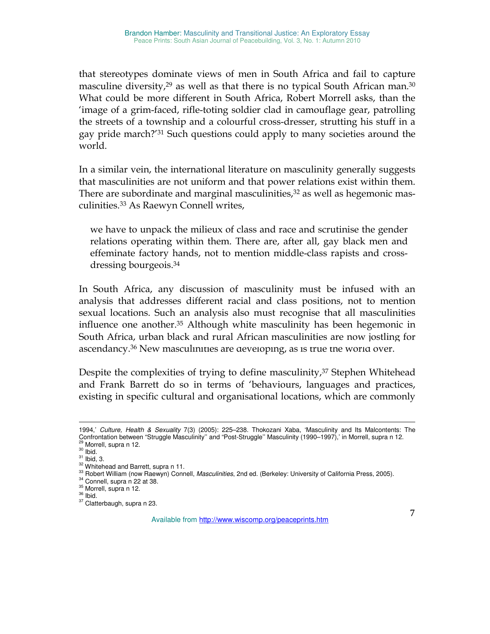that stereotypes dominate views of men in South Africa and fail to capture masculine diversity,<sup>29</sup> as well as that there is no typical South African man.<sup>30</sup> What could be more different in South Africa, Robert Morrell asks, than the 'image of a grim-faced, rifle-toting soldier clad in camouflage gear, patrolling the streets of a township and a colourful cross-dresser, strutting his stuff in a gay pride march?'<sup>31</sup> Such questions could apply to many societies around the world.

In a similar vein, the international literature on masculinity generally suggests that masculinities are not uniform and that power relations exist within them. There are subordinate and marginal masculinities,<sup>32</sup> as well as hegemonic masculinities.<sup>33</sup> As Raewyn Connell writes,

we have to unpack the milieux of class and race and scrutinise the gender relations operating within them. There are, after all, gay black men and effeminate factory hands, not to mention middle-class rapists and crossdressing bourgeois.<sup>34</sup>

In South Africa, any discussion of masculinity must be infused with an analysis that addresses different racial and class positions, not to mention sexual locations. Such an analysis also must recognise that all masculinities influence one another.<sup>35</sup> Although white masculinity has been hegemonic in South Africa, urban black and rural African masculinities are now jostling for ascendancy.<sup>36</sup> New masculinities are developing, as is true the world over.

Despite the complexities of trying to define masculinity, $37$  Stephen Whitehead and Frank Barrett do so in terms of 'behaviours, languages and practices, existing in specific cultural and organisational locations, which are commonly

<sup>1994,&#</sup>x27; Culture, Health & Sexuality 7(3) (2005): 225–238. Thokozani Xaba, 'Masculinity and Its Malcontents: The Confrontation between "Struggle Masculinity'' and "Post-Struggle'' Masculinity (1990–1997),' in Morrell, supra n 12. <sup>29</sup> Morrell, supra n 12.

 $30$  Ibid.

 $31$  Ibid, 3.

<sup>&</sup>lt;sup>32</sup> Whitehead and Barrett, supra n 11.

<sup>33</sup> Robert William (now Raewyn) Connell, Masculinities, 2nd ed. (Berkeley: University of California Press, 2005).

<sup>34</sup> Connell, supra n 22 at 38.

<sup>35</sup> Morrell, supra n 12.

 $36$  Ibid.

<sup>37</sup> Clatterbaugh, supra n 23.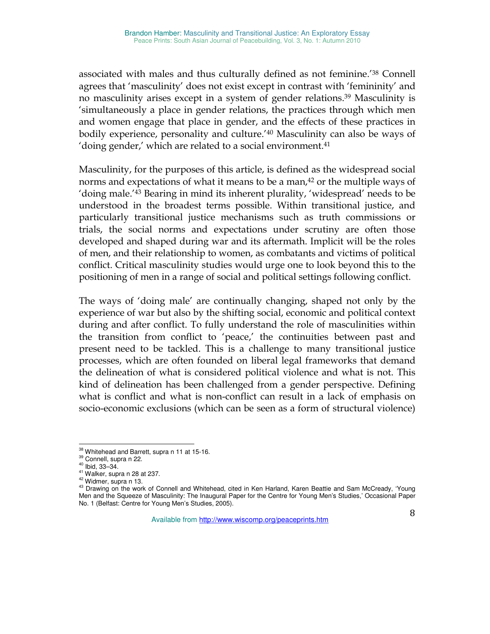associated with males and thus culturally defined as not feminine.'<sup>38</sup> Connell agrees that 'masculinity' does not exist except in contrast with 'femininity' and no masculinity arises except in a system of gender relations.<sup>39</sup> Masculinity is 'simultaneously a place in gender relations, the practices through which men and women engage that place in gender, and the effects of these practices in bodily experience, personality and culture.'<sup>40</sup> Masculinity can also be ways of 'doing gender,' which are related to a social environment.<sup>41</sup>

Masculinity, for the purposes of this article, is defined as the widespread social norms and expectations of what it means to be a man,<sup>42</sup> or the multiple ways of 'doing male.'<sup>43</sup> Bearing in mind its inherent plurality, 'widespread' needs to be understood in the broadest terms possible. Within transitional justice, and particularly transitional justice mechanisms such as truth commissions or trials, the social norms and expectations under scrutiny are often those developed and shaped during war and its aftermath. Implicit will be the roles of men, and their relationship to women, as combatants and victims of political conflict. Critical masculinity studies would urge one to look beyond this to the positioning of men in a range of social and political settings following conflict.

The ways of 'doing male' are continually changing, shaped not only by the experience of war but also by the shifting social, economic and political context during and after conflict. To fully understand the role of masculinities within the transition from conflict to 'peace,' the continuities between past and present need to be tackled. This is a challenge to many transitional justice processes, which are often founded on liberal legal frameworks that demand the delineation of what is considered political violence and what is not. This kind of delineation has been challenged from a gender perspective. Defining what is conflict and what is non-conflict can result in a lack of emphasis on socio-economic exclusions (which can be seen as a form of structural violence)

<sup>&</sup>lt;sup>38</sup> Whitehead and Barrett, supra n 11 at 15-16.

<sup>39</sup> Connell, supra n 22.

<sup>40</sup> Ibid, 33–34.

<sup>41</sup> Walker, supra n 28 at 237.

<sup>42</sup> Widmer, supra n 13.

<sup>43</sup> Drawing on the work of Connell and Whitehead, cited in Ken Harland, Karen Beattie and Sam McCready, 'Young Men and the Squeeze of Masculinity: The Inaugural Paper for the Centre for Young Men's Studies,' Occasional Paper No. 1 (Belfast: Centre for Young Men's Studies, 2005).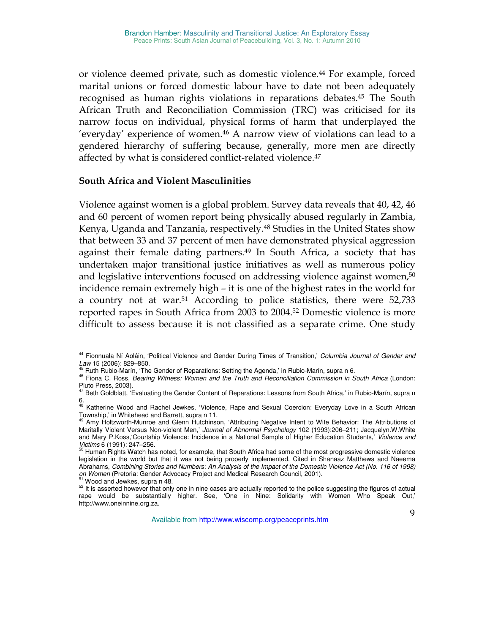or violence deemed private, such as domestic violence.<sup>44</sup> For example, forced marital unions or forced domestic labour have to date not been adequately recognised as human rights violations in reparations debates.<sup>45</sup> The South African Truth and Reconciliation Commission (TRC) was criticised for its narrow focus on individual, physical forms of harm that underplayed the 'everyday' experience of women.<sup>46</sup> A narrow view of violations can lead to a gendered hierarchy of suffering because, generally, more men are directly affected by what is considered conflict-related violence.<sup>47</sup>

## South Africa and Violent Masculinities

Violence against women is a global problem. Survey data reveals that 40, 42, 46 and 60 percent of women report being physically abused regularly in Zambia, Kenya, Uganda and Tanzania, respectively.<sup>48</sup> Studies in the United States show that between 33 and 37 percent of men have demonstrated physical aggression against their female dating partners.<sup>49</sup> In South Africa, a society that has undertaken major transitional justice initiatives as well as numerous policy and legislative interventions focused on addressing violence against women,<sup>50</sup> incidence remain extremely high – it is one of the highest rates in the world for a country not at war.<sup>51</sup> According to police statistics, there were 52,733 reported rapes in South Africa from 2003 to 2004.<sup>52</sup> Domestic violence is more difficult to assess because it is not classified as a separate crime. One study

<sup>&</sup>lt;sup>44</sup> Fionnuala Ní Aoláin, 'Political Violence and Gender During Times of Transition,' Columbia Journal of Gender and

*Law* 15 (2006): 829–850.<br><sup>45</sup> Ruth Rubio-Marín, 'The Gender of Reparations: Setting the Agenda,' in Rubio-Marín, supra n 6.

<sup>46</sup> Fiona C. Ross, Bearing Witness: Women and the Truth and Reconciliation Commission in South Africa (London: Pluto Press, 2003).<br><sup>47</sup> Beth Goldblatt, 'Evaluating the Gender Content of Reparations: Lessons from South Africa,' in Rubio-Marín, supra n

<sup>6.</sup> <sup>48</sup> Katherine Wood and Rachel Jewkes, 'Violence, Rape and Sexual Coercion: Everyday Love in a South African Township,' in Whitehead and Barrett, supra n 11.

<sup>49</sup> Amy Holtzworth-Munroe and Glenn Hutchinson, 'Attributing Negative Intent to Wife Behavior: The Attributions of Maritally Violent Versus Non-violent Men,' Journal of Abnormal Psychology 102 (1993):206–211; Jacquelyn.W.White and Mary P.Koss,'Courtship Violence: Incidence in a National Sample of Higher Education Students,' Violence and Victims 6 (1991): 247–256.

<sup>50</sup> Human Rights Watch has noted, for example, that South Africa had some of the most progressive domestic violence legislation in the world but that it was not being properly implemented. Cited in Shanaaz Matthews and Naeema Abrahams, Combining Stories and Numbers: An Analysis of the Impact of the Domestic Violence Act (No. 116 of 1998) *on Women* (Pretoria: Gender Advocacy Project and Medical Research Council, 2001).<br><sup>51</sup> Wood and Jewkes, supra n 48.

<sup>&</sup>lt;sup>52</sup> It is asserted however that only one in nine cases are actually reported to the police suggesting the figures of actual rape would be substantially higher. See, 'One in Nine: Solidarity with Women Who Speak Out,' http://www.oneinnine.org.za.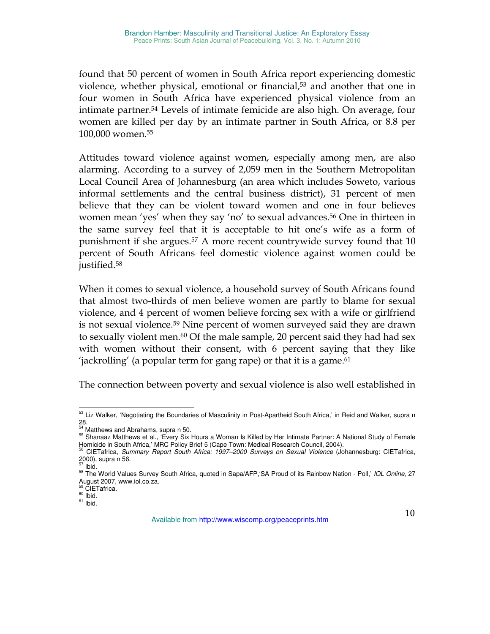found that 50 percent of women in South Africa report experiencing domestic violence, whether physical, emotional or financial,<sup>53</sup> and another that one in four women in South Africa have experienced physical violence from an intimate partner.<sup>54</sup> Levels of intimate femicide are also high. On average, four women are killed per day by an intimate partner in South Africa, or 8.8 per 100,000 women.<sup>55</sup>

Attitudes toward violence against women, especially among men, are also alarming. According to a survey of 2,059 men in the Southern Metropolitan Local Council Area of Johannesburg (an area which includes Soweto, various informal settlements and the central business district), 31 percent of men believe that they can be violent toward women and one in four believes women mean 'yes' when they say 'no' to sexual advances.<sup>56</sup> One in thirteen in the same survey feel that it is acceptable to hit one's wife as a form of punishment if she argues.<sup>57</sup> A more recent countrywide survey found that 10 percent of South Africans feel domestic violence against women could be justified.<sup>58</sup>

When it comes to sexual violence, a household survey of South Africans found that almost two-thirds of men believe women are partly to blame for sexual violence, and 4 percent of women believe forcing sex with a wife or girlfriend is not sexual violence.<sup>59</sup> Nine percent of women surveyed said they are drawn to sexually violent men.<sup>60</sup> Of the male sample, 20 percent said they had had sex with women without their consent, with 6 percent saying that they like 'jackrolling' (a popular term for gang rape) or that it is a game. $61$ 

The connection between poverty and sexual violence is also well established in

<sup>53</sup> Liz Walker, 'Negotiating the Boundaries of Masculinity in Post-Apartheid South Africa,' in Reid and Walker, supra n 28.<br><sup>54</sup> Matthews and Abrahams, supra n 50.

<sup>55</sup> Shanaaz Matthews et al., 'Every Six Hours a Woman Is Killed by Her Intimate Partner: A National Study of Female

Homicide in South Africa,' MRC Policy Brief 5 (Cape Town: Medical Research Council, 2004).<br><sup>56</sup> CIETafrica, *Summary Report South Africa: 1997–2000 Surveys on Sexual Violence* (Johannesburg: CIETafrica, 2000), supra n 56.

 $57$  Ibid.

<sup>&</sup>lt;sup>58</sup> The World Values Survey South Africa, quoted in Sapa/AFP, SA Proud of its Rainbow Nation - Poll,' IOL Online, 27 August 2007, www.iol.co.za.

<sup>&</sup>lt;sup>59</sup> CIETafrica.

 $60$  lbid.

 $61$  Ibid.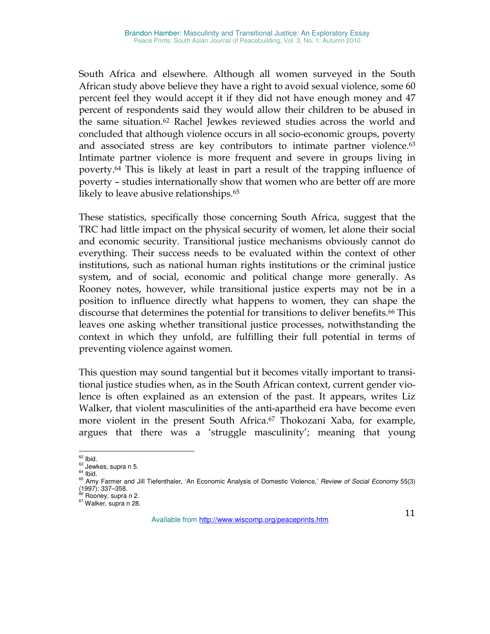South Africa and elsewhere. Although all women surveyed in the South African study above believe they have a right to avoid sexual violence, some 60 percent feel they would accept it if they did not have enough money and 47 percent of respondents said they would allow their children to be abused in the same situation.<sup>62</sup> Rachel Jewkes reviewed studies across the world and concluded that although violence occurs in all socio-economic groups, poverty and associated stress are key contributors to intimate partner violence.<sup>63</sup> Intimate partner violence is more frequent and severe in groups living in poverty.<sup>64</sup> This is likely at least in part a result of the trapping influence of poverty – studies internationally show that women who are better off are more likely to leave abusive relationships.<sup>65</sup>

These statistics, specifically those concerning South Africa, suggest that the TRC had little impact on the physical security of women, let alone their social and economic security. Transitional justice mechanisms obviously cannot do everything. Their success needs to be evaluated within the context of other institutions, such as national human rights institutions or the criminal justice system, and of social, economic and political change more generally. As Rooney notes, however, while transitional justice experts may not be in a position to influence directly what happens to women, they can shape the discourse that determines the potential for transitions to deliver benefits.<sup>66</sup> This leaves one asking whether transitional justice processes, notwithstanding the context in which they unfold, are fulfilling their full potential in terms of preventing violence against women.

This question may sound tangential but it becomes vitally important to transitional justice studies when, as in the South African context, current gender violence is often explained as an extension of the past. It appears, writes Liz Walker, that violent masculinities of the anti-apartheid era have become even more violent in the present South Africa.<sup>67</sup> Thokozani Xaba, for example, argues that there was a 'struggle masculinity'; meaning that young

 $62$  Ibid.

<sup>&</sup>lt;sup>63</sup> Jewkes, supra n 5.

 $64$  Ibid.

<sup>&</sup>lt;sup>65</sup> Amy Farmer and Jill Tiefenthaler, 'An Economic Analysis of Domestic Violence,' Review of Social Economy 55(3) (1997): 337–358.<br><sup>66</sup> Rooney, supra n 2.

<sup>&</sup>lt;sup>67</sup> Walker, supra n 28.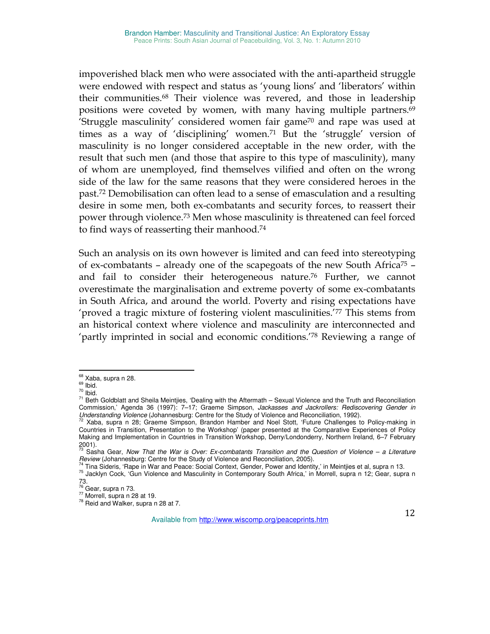impoverished black men who were associated with the anti-apartheid struggle were endowed with respect and status as 'young lions' and 'liberators' within their communities.<sup>68</sup> Their violence was revered, and those in leadership positions were coveted by women, with many having multiple partners.<sup>69</sup> 'Struggle masculinity' considered women fair game<sup>70</sup> and rape was used at times as a way of 'disciplining' women.<sup>71</sup> But the 'struggle' version of masculinity is no longer considered acceptable in the new order, with the result that such men (and those that aspire to this type of masculinity), many of whom are unemployed, find themselves vilified and often on the wrong side of the law for the same reasons that they were considered heroes in the past.<sup>72</sup> Demobilisation can often lead to a sense of emasculation and a resulting desire in some men, both ex-combatants and security forces, to reassert their power through violence.<sup>73</sup> Men whose masculinity is threatened can feel forced to find ways of reasserting their manhood.<sup>74</sup>

Such an analysis on its own however is limited and can feed into stereotyping of ex-combatants – already one of the scapegoats of the new South Africa<sup>75</sup> – and fail to consider their heterogeneous nature.<sup>76</sup> Further, we cannot overestimate the marginalisation and extreme poverty of some ex-combatants in South Africa, and around the world. Poverty and rising expectations have 'proved a tragic mixture of fostering violent masculinities.'<sup>77</sup> This stems from an historical context where violence and masculinity are interconnected and 'partly imprinted in social and economic conditions.'<sup>78</sup> Reviewing a range of

<sup>&</sup>lt;sup>68</sup> Xaba, supra n 28.

 $69$  Ibid.

 $70$  Ibid.

<sup>71</sup> Beth Goldblatt and Sheila Meintjies, 'Dealing with the Aftermath – Sexual Violence and the Truth and Reconciliation Commission,' Agenda 36 (1997): 7–17; Graeme Simpson, Jackasses and Jackrollers: Rediscovering Gender in

*Understanding Violence* (Johannesburg: Centre for the Study of Violence and Reconciliation, 1992).<br><sup>72</sup> Xaba, supra n 28; Graeme Simpson, Brandon Hamber and Noel Stott, 'Future Challenges to Policy-making in Countries in Transition, Presentation to the Workshop' (paper presented at the Comparative Experiences of Policy Making and Implementation in Countries in Transition Workshop, Derry/Londonderry, Northern Ireland, 6–7 February 2001).<br><sup>73</sup> Sasha Gear, *Now That the War is Over: Ex-combatants Transition and the Question of Violence – a Literature* 

Review (Johannesburg: Centre for the Study of Violence and Reconciliation, 2005).

 $^{74}$  Tina Sideris, 'Rape in War and Peace: Social Context, Gender, Power and Identity,' in Meintjies et al, supra n 13.

<sup>&</sup>lt;sup>75</sup> Jacklyn Cock, 'Gun Violence and Masculinity in Contemporary South Africa,' in Morrell, supra n 12; Gear, supra n 73.<br><sup>76</sup> Gear, supra n 73.

<sup>77</sup> Morrell, supra n 28 at 19.

<sup>&</sup>lt;sup>78</sup> Reid and Walker, supra n 28 at 7.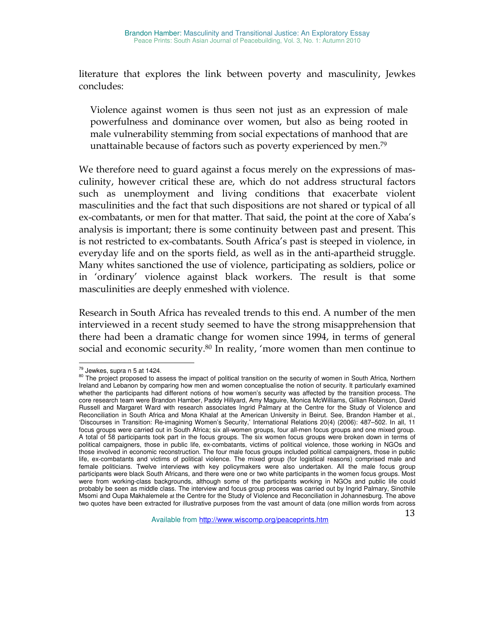literature that explores the link between poverty and masculinity, Jewkes concludes:

Violence against women is thus seen not just as an expression of male powerfulness and dominance over women, but also as being rooted in male vulnerability stemming from social expectations of manhood that are unattainable because of factors such as poverty experienced by men.<sup>79</sup>

We therefore need to guard against a focus merely on the expressions of masculinity, however critical these are, which do not address structural factors such as unemployment and living conditions that exacerbate violent masculinities and the fact that such dispositions are not shared or typical of all ex-combatants, or men for that matter. That said, the point at the core of Xaba's analysis is important; there is some continuity between past and present. This is not restricted to ex-combatants. South Africa's past is steeped in violence, in everyday life and on the sports field, as well as in the anti-apartheid struggle. Many whites sanctioned the use of violence, participating as soldiers, police or in 'ordinary' violence against black workers. The result is that some masculinities are deeply enmeshed with violence.

Research in South Africa has revealed trends to this end. A number of the men interviewed in a recent study seemed to have the strong misapprehension that there had been a dramatic change for women since 1994, in terms of general social and economic security.<sup>80</sup> In reality, 'more women than men continue to

 $79$  Jewkes, supra n 5 at 1424.

<sup>80</sup> The project proposed to assess the impact of political transition on the security of women in South Africa, Northern Ireland and Lebanon by comparing how men and women conceptualise the notion of security. It particularly examined whether the participants had different notions of how women's security was affected by the transition process. The core research team were Brandon Hamber, Paddy Hillyard, Amy Maguire, Monica McWilliams, Gillian Robinson, David Russell and Margaret Ward with research associates Ingrid Palmary at the Centre for the Study of Violence and Reconciliation in South Africa and Mona Khalaf at the American University in Beirut. See, Brandon Hamber et al., 'Discourses in Transition: Re-imagining Women's Security,' International Relations 20(4) (2006): 487–502. In all, 11 focus groups were carried out in South Africa; six all-women groups, four all-men focus groups and one mixed group. A total of 58 participants took part in the focus groups. The six women focus groups were broken down in terms of political campaigners, those in public life, ex-combatants, victims of political violence, those working in NGOs and those involved in economic reconstruction. The four male focus groups included political campaigners, those in public life, ex-combatants and victims of political violence. The mixed group (for logistical reasons) comprised male and female politicians. Twelve interviews with key policymakers were also undertaken. All the male focus group participants were black South Africans, and there were one or two white participants in the women focus groups. Most were from working-class backgrounds, although some of the participants working in NGOs and public life could probably be seen as middle class. The interview and focus group process was carried out by Ingrid Palmary, Sinothile Msomi and Oupa Makhalemele at the Centre for the Study of Violence and Reconciliation in Johannesburg. The above two quotes have been extracted for illustrative purposes from the vast amount of data (one million words from across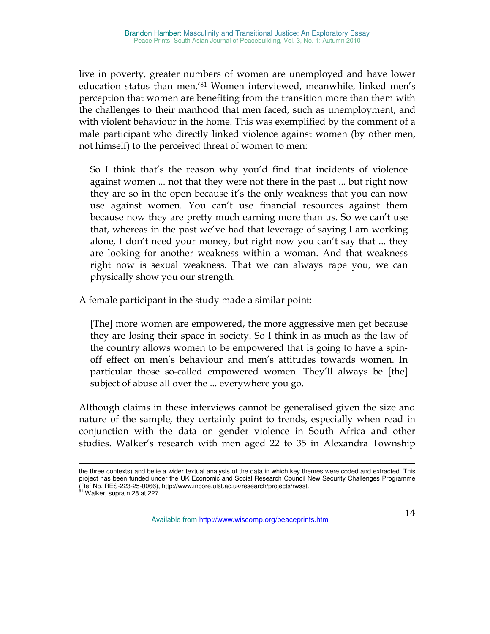live in poverty, greater numbers of women are unemployed and have lower education status than men.'<sup>81</sup> Women interviewed, meanwhile, linked men's perception that women are benefiting from the transition more than them with the challenges to their manhood that men faced, such as unemployment, and with violent behaviour in the home. This was exemplified by the comment of a male participant who directly linked violence against women (by other men, not himself) to the perceived threat of women to men:

So I think that's the reason why you'd find that incidents of violence against women ... not that they were not there in the past ... but right now they are so in the open because it's the only weakness that you can now use against women. You can't use financial resources against them because now they are pretty much earning more than us. So we can't use that, whereas in the past we've had that leverage of saying I am working alone, I don't need your money, but right now you can't say that ... they are looking for another weakness within a woman. And that weakness right now is sexual weakness. That we can always rape you, we can physically show you our strength.

A female participant in the study made a similar point:

[The] more women are empowered, the more aggressive men get because they are losing their space in society. So I think in as much as the law of the country allows women to be empowered that is going to have a spinoff effect on men's behaviour and men's attitudes towards women. In particular those so-called empowered women. They'll always be [the] subject of abuse all over the ... everywhere you go.

Although claims in these interviews cannot be generalised given the size and nature of the sample, they certainly point to trends, especially when read in conjunction with the data on gender violence in South Africa and other studies. Walker's research with men aged 22 to 35 in Alexandra Township

 $\overline{a}$ 

Available from http://www.wiscomp.org/peaceprints.htm

the three contexts) and belie a wider textual analysis of the data in which key themes were coded and extracted. This project has been funded under the UK Economic and Social Research Council New Security Challenges Programme (Ref No. RES-223-25-0066), http://www.incore.ulst.ac.uk/research/projects/rwsst.<br><sup>81</sup> Walker, supra n 28 at 227.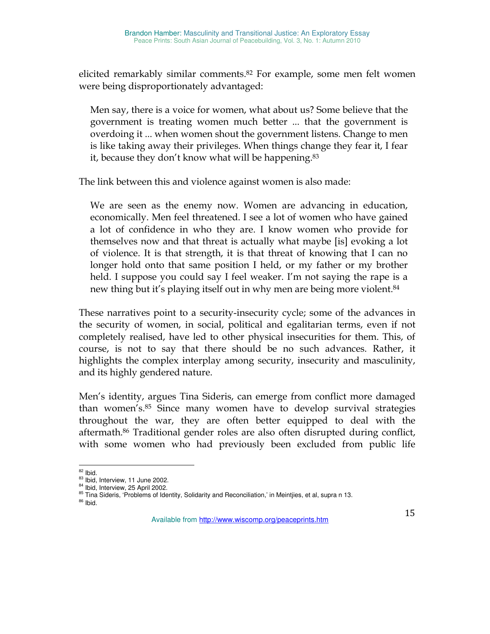elicited remarkably similar comments.<sup>82</sup> For example, some men felt women were being disproportionately advantaged:

Men say, there is a voice for women, what about us? Some believe that the government is treating women much better ... that the government is overdoing it ... when women shout the government listens. Change to men is like taking away their privileges. When things change they fear it, I fear it, because they don't know what will be happening.<sup>83</sup>

The link between this and violence against women is also made:

We are seen as the enemy now. Women are advancing in education, economically. Men feel threatened. I see a lot of women who have gained a lot of confidence in who they are. I know women who provide for themselves now and that threat is actually what maybe [is] evoking a lot of violence. It is that strength, it is that threat of knowing that I can no longer hold onto that same position I held, or my father or my brother held. I suppose you could say I feel weaker. I'm not saying the rape is a new thing but it's playing itself out in why men are being more violent.<sup>84</sup>

These narratives point to a security-insecurity cycle; some of the advances in the security of women, in social, political and egalitarian terms, even if not completely realised, have led to other physical insecurities for them. This, of course, is not to say that there should be no such advances. Rather, it highlights the complex interplay among security, insecurity and masculinity, and its highly gendered nature.

Men's identity, argues Tina Sideris, can emerge from conflict more damaged than women's.<sup>85</sup> Since many women have to develop survival strategies throughout the war, they are often better equipped to deal with the aftermath.<sup>86</sup> Traditional gender roles are also often disrupted during conflict, with some women who had previously been excluded from public life

 $82$  Ibid.

<sup>83</sup> Ibid, Interview, 11 June 2002.

<sup>84</sup> Ibid, Interview, 25 April 2002.

<sup>&</sup>lt;sup>85</sup> Tina Sideris, 'Problems of Identity, Solidarity and Reconciliation,' in Meintjies, et al, supra n 13.

<sup>86</sup> Ibid.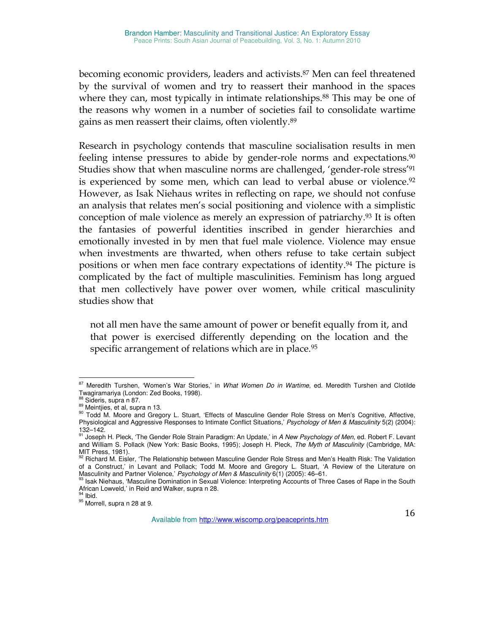becoming economic providers, leaders and activists.<sup>87</sup> Men can feel threatened by the survival of women and try to reassert their manhood in the spaces where they can, most typically in intimate relationships. <sup>88</sup> This may be one of the reasons why women in a number of societies fail to consolidate wartime gains as men reassert their claims, often violently.<sup>89</sup>

Research in psychology contends that masculine socialisation results in men feeling intense pressures to abide by gender-role norms and expectations.<sup>90</sup> Studies show that when masculine norms are challenged, 'gender-role stress'<sup>91</sup> is experienced by some men, which can lead to verbal abuse or violence.<sup>92</sup> However, as Isak Niehaus writes in reflecting on rape, we should not confuse an analysis that relates men's social positioning and violence with a simplistic conception of male violence as merely an expression of patriarchy.<sup>93</sup> It is often the fantasies of powerful identities inscribed in gender hierarchies and emotionally invested in by men that fuel male violence. Violence may ensue when investments are thwarted, when others refuse to take certain subject positions or when men face contrary expectations of identity.<sup>94</sup> The picture is complicated by the fact of multiple masculinities. Feminism has long argued that men collectively have power over women, while critical masculinity studies show that

not all men have the same amount of power or benefit equally from it, and that power is exercised differently depending on the location and the specific arrangement of relations which are in place.<sup>95</sup>

<sup>87</sup> Meredith Turshen, 'Women's War Stories,' in What Women Do in Wartime, ed. Meredith Turshen and Clotilde Twagiramariya (London: Zed Books, 1998).

<sup>88</sup> Sideris, supra n 87.

<sup>89</sup> Meintjies, et al, supra n 13.

<sup>90</sup> Todd M. Moore and Gregory L. Stuart, 'Effects of Masculine Gender Role Stress on Men's Cognitive, Affective, Physiological and Aggressive Responses to Intimate Conflict Situations,' Psychology of Men & Masculinity 5(2) (2004):

<sup>132–142.&</sup>lt;br><sup>91</sup> Joseph H. Pleck, 'The Gender Role Strain Paradigm: An Update,' in *A New Psychology of Men*, ed. Robert F. Levant and William S. Pollack (New York: Basic Books, 1995); Joseph H. Pleck, The Myth of Masculinity (Cambridge, MA: MIT Press, 1981).

<sup>92</sup> Richard M. Eisler, 'The Relationship between Masculine Gender Role Stress and Men's Health Risk: The Validation of a Construct,' in Levant and Pollack; Todd M. Moore and Gregory L. Stuart, 'A Review of the Literature on Masculinity and Partner Violence,' Psychology of Men & Masculinity 6(1) (2005): 46-61.

<sup>93</sup> Isak Niehaus, 'Masculine Domination in Sexual Violence: Interpreting Accounts of Three Cases of Rape in the South African Lowveld,' in Reid and Walker, supra n 28.<br><sup>94</sup> Ibid.

<sup>95</sup> Morrell, supra n 28 at 9.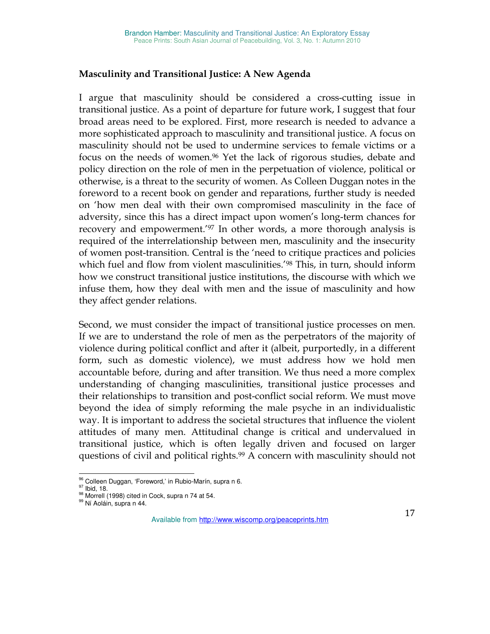## Masculinity and Transitional Justice: A New Agenda

I argue that masculinity should be considered a cross-cutting issue in transitional justice. As a point of departure for future work, I suggest that four broad areas need to be explored. First, more research is needed to advance a more sophisticated approach to masculinity and transitional justice. A focus on masculinity should not be used to undermine services to female victims or a focus on the needs of women.<sup>96</sup> Yet the lack of rigorous studies, debate and policy direction on the role of men in the perpetuation of violence, political or otherwise, is a threat to the security of women. As Colleen Duggan notes in the foreword to a recent book on gender and reparations, further study is needed on 'how men deal with their own compromised masculinity in the face of adversity, since this has a direct impact upon women's long-term chances for recovery and empowerment.'<sup>97</sup> In other words, a more thorough analysis is required of the interrelationship between men, masculinity and the insecurity of women post-transition. Central is the 'need to critique practices and policies which fuel and flow from violent masculinities.'<sup>98</sup> This, in turn, should inform how we construct transitional justice institutions, the discourse with which we infuse them, how they deal with men and the issue of masculinity and how they affect gender relations.

Second, we must consider the impact of transitional justice processes on men. If we are to understand the role of men as the perpetrators of the majority of violence during political conflict and after it (albeit, purportedly, in a different form, such as domestic violence), we must address how we hold men accountable before, during and after transition. We thus need a more complex understanding of changing masculinities, transitional justice processes and their relationships to transition and post-conflict social reform. We must move beyond the idea of simply reforming the male psyche in an individualistic way. It is important to address the societal structures that influence the violent attitudes of many men. Attitudinal change is critical and undervalued in transitional justice, which is often legally driven and focused on larger questions of civil and political rights.<sup>99</sup> A concern with masculinity should not

<sup>96</sup> Colleen Duggan, 'Foreword,' in Rubio-Marín, supra n 6.

 $97$  Ibid, 18.

<sup>98</sup> Morrell (1998) cited in Cock, supra n 74 at 54.

<sup>99</sup> Ní Aoláin, supra n 44.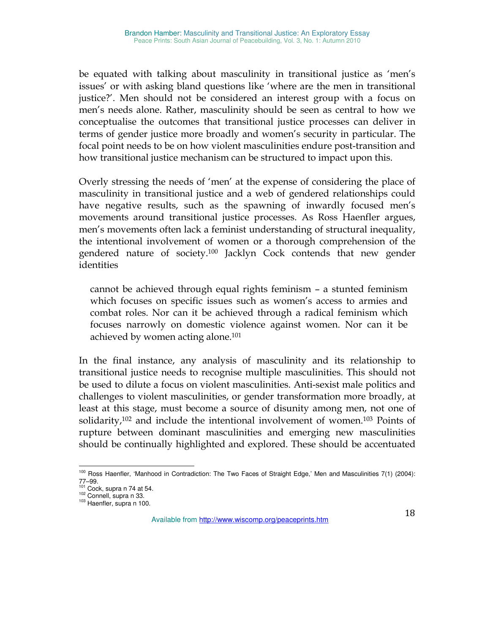be equated with talking about masculinity in transitional justice as 'men's issues' or with asking bland questions like 'where are the men in transitional justice?'. Men should not be considered an interest group with a focus on men's needs alone. Rather, masculinity should be seen as central to how we conceptualise the outcomes that transitional justice processes can deliver in terms of gender justice more broadly and women's security in particular. The focal point needs to be on how violent masculinities endure post-transition and how transitional justice mechanism can be structured to impact upon this.

Overly stressing the needs of 'men' at the expense of considering the place of masculinity in transitional justice and a web of gendered relationships could have negative results, such as the spawning of inwardly focused men's movements around transitional justice processes. As Ross Haenfler argues, men's movements often lack a feminist understanding of structural inequality, the intentional involvement of women or a thorough comprehension of the gendered nature of society.<sup>100</sup> Jacklyn Cock contends that new gender identities

cannot be achieved through equal rights feminism – a stunted feminism which focuses on specific issues such as women's access to armies and combat roles. Nor can it be achieved through a radical feminism which focuses narrowly on domestic violence against women. Nor can it be achieved by women acting alone.<sup>101</sup>

In the final instance, any analysis of masculinity and its relationship to transitional justice needs to recognise multiple masculinities. This should not be used to dilute a focus on violent masculinities. Anti-sexist male politics and challenges to violent masculinities, or gender transformation more broadly, at least at this stage, must become a source of disunity among men, not one of solidarity,<sup>102</sup> and include the intentional involvement of women.<sup>103</sup> Points of rupture between dominant masculinities and emerging new masculinities should be continually highlighted and explored. These should be accentuated

<sup>&</sup>lt;sup>100</sup> Ross Haenfler, 'Manhood in Contradiction: The Two Faces of Straight Edge,' Men and Masculinities 7(1) (2004): 77–99. <sup>101</sup> Cock, supra n 74 at 54.

<sup>&</sup>lt;sup>102</sup> Connell, supra n 33.

<sup>103</sup> Haenfler, supra n 100.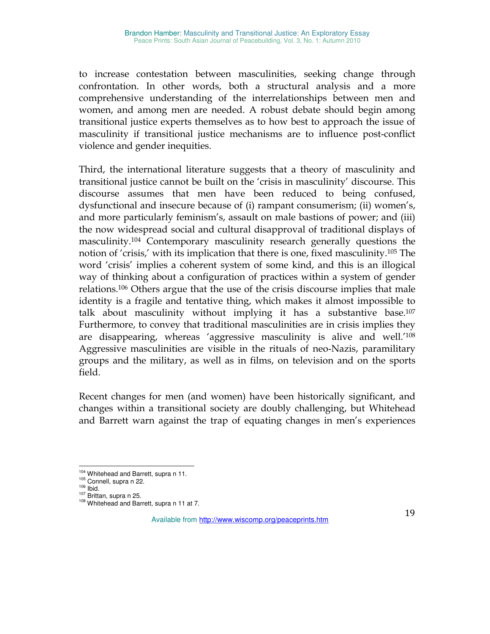to increase contestation between masculinities, seeking change through confrontation. In other words, both a structural analysis and a more comprehensive understanding of the interrelationships between men and women, and among men are needed. A robust debate should begin among transitional justice experts themselves as to how best to approach the issue of masculinity if transitional justice mechanisms are to influence post-conflict violence and gender inequities.

Third, the international literature suggests that a theory of masculinity and transitional justice cannot be built on the 'crisis in masculinity' discourse. This discourse assumes that men have been reduced to being confused, dysfunctional and insecure because of (i) rampant consumerism; (ii) women's, and more particularly feminism's, assault on male bastions of power; and (iii) the now widespread social and cultural disapproval of traditional displays of masculinity.<sup>104</sup> Contemporary masculinity research generally questions the notion of 'crisis,' with its implication that there is one, fixed masculinity.<sup>105</sup> The word 'crisis' implies a coherent system of some kind, and this is an illogical way of thinking about a configuration of practices within a system of gender relations.<sup>106</sup> Others argue that the use of the crisis discourse implies that male identity is a fragile and tentative thing, which makes it almost impossible to talk about masculinity without implying it has a substantive base.<sup>107</sup> Furthermore, to convey that traditional masculinities are in crisis implies they are disappearing, whereas 'aggressive masculinity is alive and well.'<sup>108</sup> Aggressive masculinities are visible in the rituals of neo-Nazis, paramilitary groups and the military, as well as in films, on television and on the sports field.

Recent changes for men (and women) have been historically significant, and changes within a transitional society are doubly challenging, but Whitehead and Barrett warn against the trap of equating changes in men's experiences

<sup>&</sup>lt;sup>104</sup> Whitehead and Barrett, supra n 11.

<sup>105</sup> Connell, supra n 22.

 $106$  Ibid.

<sup>107</sup> Brittan, supra n 25.

<sup>108</sup> Whitehead and Barrett, supra n 11 at 7.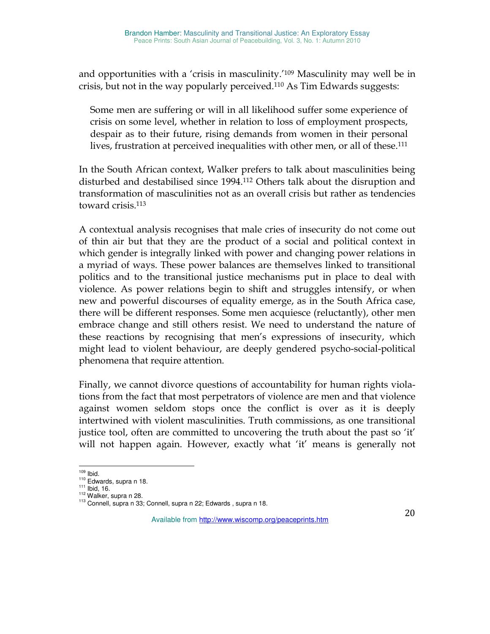and opportunities with a 'crisis in masculinity.'<sup>109</sup> Masculinity may well be in crisis, but not in the way popularly perceived.<sup>110</sup> As Tim Edwards suggests:

Some men are suffering or will in all likelihood suffer some experience of crisis on some level, whether in relation to loss of employment prospects, despair as to their future, rising demands from women in their personal lives, frustration at perceived inequalities with other men, or all of these.<sup>111</sup>

In the South African context, Walker prefers to talk about masculinities being disturbed and destabilised since 1994.<sup>112</sup> Others talk about the disruption and transformation of masculinities not as an overall crisis but rather as tendencies toward crisis.<sup>113</sup>

A contextual analysis recognises that male cries of insecurity do not come out of thin air but that they are the product of a social and political context in which gender is integrally linked with power and changing power relations in a myriad of ways. These power balances are themselves linked to transitional politics and to the transitional justice mechanisms put in place to deal with violence. As power relations begin to shift and struggles intensify, or when new and powerful discourses of equality emerge, as in the South Africa case, there will be different responses. Some men acquiesce (reluctantly), other men embrace change and still others resist. We need to understand the nature of these reactions by recognising that men's expressions of insecurity, which might lead to violent behaviour, are deeply gendered psycho-social-political phenomena that require attention.

Finally, we cannot divorce questions of accountability for human rights violations from the fact that most perpetrators of violence are men and that violence against women seldom stops once the conflict is over as it is deeply intertwined with violent masculinities. Truth commissions, as one transitional justice tool, often are committed to uncovering the truth about the past so 'it' will not happen again. However, exactly what 'it' means is generally not

 $\overline{a}$  $109$  Ibid.

<sup>110</sup> Edwards, supra n 18.

 $111$  Ibid, 16.

<sup>112</sup> Walker, supra n 28.

<sup>113</sup> Connell, supra n 33; Connell, supra n 22; Edwards , supra n 18.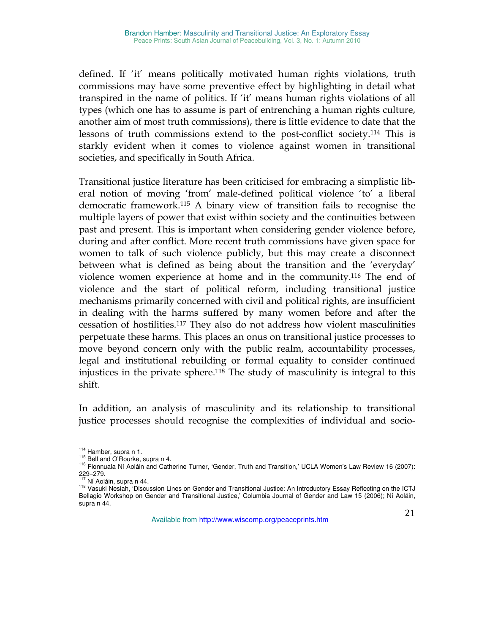defined. If 'it' means politically motivated human rights violations, truth commissions may have some preventive effect by highlighting in detail what transpired in the name of politics. If 'it' means human rights violations of all types (which one has to assume is part of entrenching a human rights culture, another aim of most truth commissions), there is little evidence to date that the lessons of truth commissions extend to the post-conflict society.<sup>114</sup> This is starkly evident when it comes to violence against women in transitional societies, and specifically in South Africa.

Transitional justice literature has been criticised for embracing a simplistic liberal notion of moving 'from' male-defined political violence 'to' a liberal democratic framework.<sup>115</sup> A binary view of transition fails to recognise the multiple layers of power that exist within society and the continuities between past and present. This is important when considering gender violence before, during and after conflict. More recent truth commissions have given space for women to talk of such violence publicly, but this may create a disconnect between what is defined as being about the transition and the 'everyday' violence women experience at home and in the community.<sup>116</sup> The end of violence and the start of political reform, including transitional justice mechanisms primarily concerned with civil and political rights, are insufficient in dealing with the harms suffered by many women before and after the cessation of hostilities.<sup>117</sup> They also do not address how violent masculinities perpetuate these harms. This places an onus on transitional justice processes to move beyond concern only with the public realm, accountability processes, legal and institutional rebuilding or formal equality to consider continued injustices in the private sphere.<sup>118</sup> The study of masculinity is integral to this shift.

In addition, an analysis of masculinity and its relationship to transitional justice processes should recognise the complexities of individual and socio-

<sup>114</sup> Hamber, supra n 1.

<sup>&</sup>lt;sup>115</sup> Bell and O'Rourke, supra n 4.

<sup>116</sup> Fionnuala Ní Aoláin and Catherine Turner, 'Gender, Truth and Transition,' UCLA Women's Law Review 16 (2007): 229–279.

<sup>&</sup>lt;sup>117</sup> Ní Aoláin, supra n 44.

<sup>118</sup> Vasuki Nesiah, 'Discussion Lines on Gender and Transitional Justice: An Introductory Essay Reflecting on the ICTJ Bellagio Workshop on Gender and Transitional Justice,' Columbia Journal of Gender and Law 15 (2006); Ní Aoláin, supra n 44.